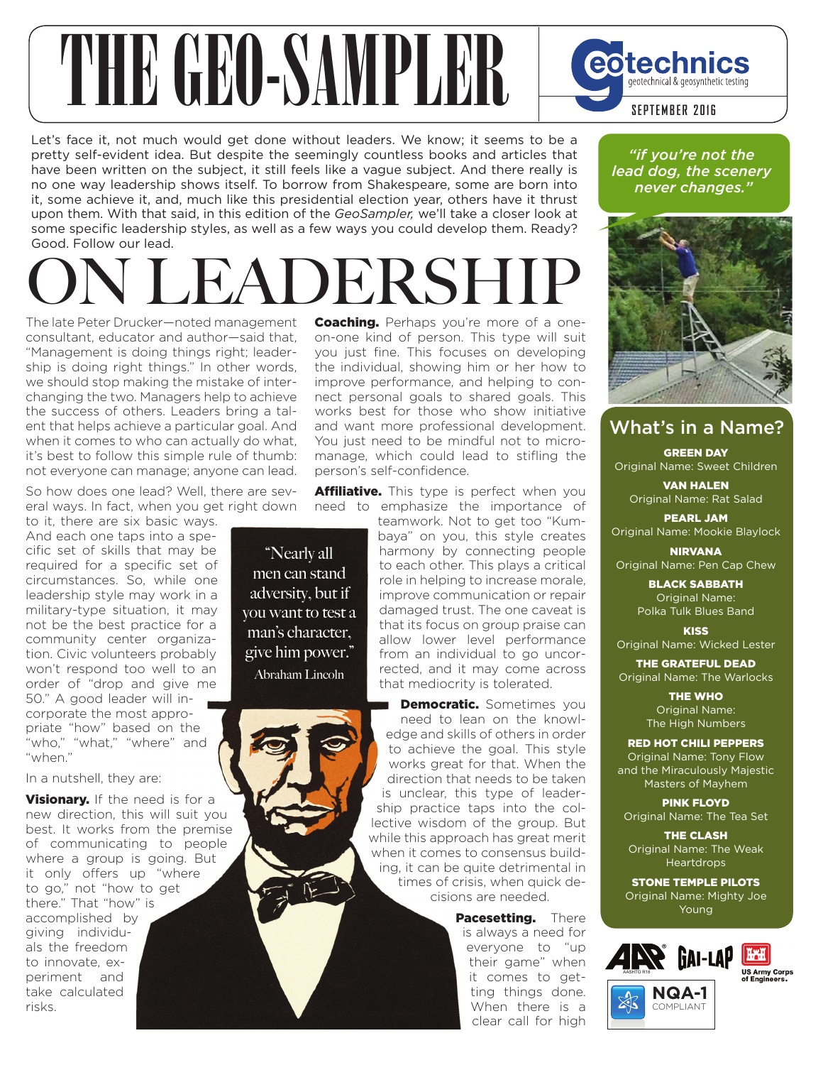# THE GEORGIAN SAMPLER SEPTEMBER 2016

Let's face it, not much would get done without leaders. We know; it seems to be a pretty self-evident idea. But despite the seemingly countless books and articles that have been written on the subject, it still feels like a vague subject. And there really is no one way leadership shows itself. To borrow from Shakespeare, some are born into it, some achieve it, and, much like this presidential election year, others have it thrust upon them. With that said, in this edition of the *GeoSampler,* we'll take a closer look at some specific leadership styles, as well as a few ways you could develop them. Ready? Good. Follow our lead.

# **N LEADERSHI**

"Nearly all men can stand adversity, but if you want to test a man's character, give him power." Abraham Lincoln

The late Peter Drucker—noted management consultant, educator and author—said that, "Management is doing things right; leadership is doing right things." In other words, we should stop making the mistake of interchanging the two. Managers help to achieve the success of others. Leaders bring a talent that helps achieve a particular goal. And when it comes to who can actually do what. it's best to follow this simple rule of thumb: not everyone can manage; anyone can lead.

So how does one lead? Well, there are several ways. In fact, when you get right down

to it, there are six basic ways. And each one taps into a specific set of skills that may be required for a specific set of circumstances. So, while one leadership style may work in a military-type situation, it may not be the best practice for a community center organization. Civic volunteers probably won't respond too well to an order of "drop and give me 50." A good leader will incorporate the most appropriate "how" based on the "who," "what," "where" and "when."

In a nutshell, they are:

Visionary. If the need is for a new direction, this will suit you best. It works from the premise of communicating to people where a group is going. But it only offers up "where to go," not "how to get there." That "how" is accomplished by giving individuals the freedom to innovate, experiment and take calculated risks.

**Coaching.** Perhaps you're more of a oneon-one kind of person. This type will suit you just fine. This focuses on developing the individual, showing him or her how to improve performance, and helping to connect personal goals to shared goals. This works best for those who show initiative and want more professional development. You just need to be mindful not to micromanage, which could lead to stifling the person's self-confidence.

**Affiliative.** This type is perfect when you need to emphasize the importance of

teamwork. Not to get too "Kumbaya" on you, this style creates harmony by connecting people to each other. This plays a critical role in helping to increase morale, improve communication or repair damaged trust. The one caveat is that its focus on group praise can allow lower level performance from an individual to go uncorrected, and it may come across that mediocrity is tolerated.

Democratic. Sometimes you need to lean on the knowledge and skills of others in order to achieve the goal. This style works great for that. When the direction that needs to be taken is unclear, this type of leadership practice taps into the collective wisdom of the group. But while this approach has great merit when it comes to consensus building, it can be quite detrimental in times of crisis, when quick decisions are needed.

> Pacesetting. There is always a need for everyone to "up their game" when it comes to getting things done. When there is a clear call for high

*"if you're not the lead dog, the scenery never changes."*



#### What's in a Name?

GREEN DAY Original Name: Sweet Children

VAN HALEN Original Name: Rat Salad

PEARL JAM Original Name: Mookie Blaylock

NIRVANA Original Name: Pen Cap Chew

> BLACK SABBATH Original Name: Polka Tulk Blues Band

**KISS** Original Name: Wicked Lester

THE GRATEFUL DEAD Original Name: The Warlocks

> THE WHO Original Name: The High Numbers

RED HOT CHILI PEPPERS Original Name: Tony Flow and the Miraculously Majestic Masters of Mayhem

PINK FLOYD Original Name: The Tea Set

THE CLASH Original Name: The Weak **Heartdrops** 

STONE TEMPLE PILOTS Original Name: Mighty Joe Young